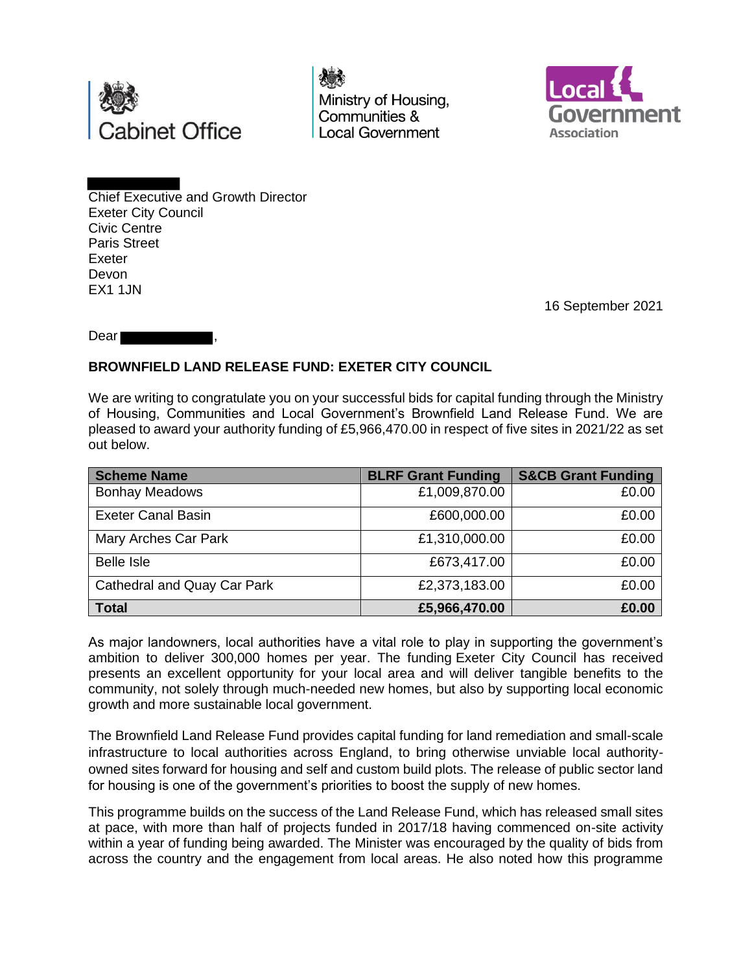

Ministry of Housing, Communities & **Local Government** 



Chief Executive and Growth Director Exeter City Council Civic Centre Paris Street Exeter Devon EX1 1JN

16 September 2021

Dear

## **BROWNFIELD LAND RELEASE FUND: EXETER CITY COUNCIL**

We are writing to congratulate you on your successful bids for capital funding through the Ministry of Housing, Communities and Local Government's Brownfield Land Release Fund. We are pleased to award your authority funding of £5,966,470.00 in respect of five sites in 2021/22 as set out below.

| <b>Scheme Name</b>          | <b>BLRF Grant Funding</b> | <b>S&amp;CB Grant Funding</b> |
|-----------------------------|---------------------------|-------------------------------|
| <b>Bonhay Meadows</b>       | £1,009,870.00             | £0.00                         |
| <b>Exeter Canal Basin</b>   | £600,000.00               | £0.00                         |
| Mary Arches Car Park        | £1,310,000.00             | £0.00                         |
| <b>Belle Isle</b>           | £673,417.00               | £0.00                         |
| Cathedral and Quay Car Park | £2,373,183.00             | £0.00                         |
| <b>Total</b>                | £5,966,470.00             | £0.00                         |

As major landowners, local authorities have a vital role to play in supporting the government's ambition to deliver 300,000 homes per year. The funding Exeter City Council has received presents an excellent opportunity for your local area and will deliver tangible benefits to the community, not solely through much-needed new homes, but also by supporting local economic growth and more sustainable local government.

The Brownfield Land Release Fund provides capital funding for land remediation and small-scale infrastructure to local authorities across England, to bring otherwise unviable local authorityowned sites forward for housing and self and custom build plots. The release of public sector land for housing is one of the government's priorities to boost the supply of new homes.

This programme builds on the success of the Land Release Fund, which has released small sites at pace, with more than half of projects funded in 2017/18 having commenced on-site activity within a year of funding being awarded. The Minister was encouraged by the quality of bids from across the country and the engagement from local areas. He also noted how this programme